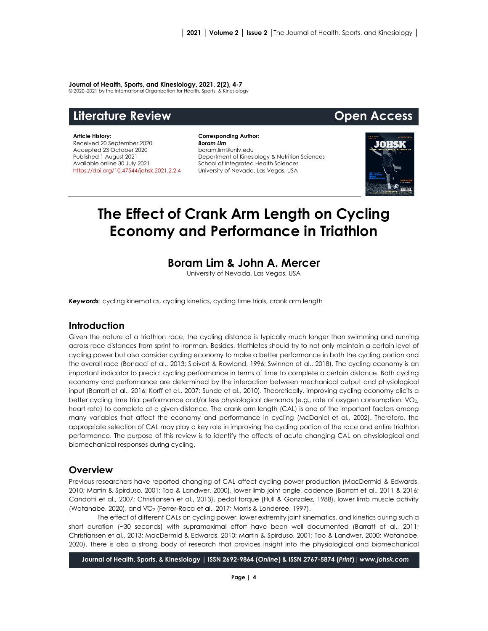#### **Journal of Health, Sports, and Kinesiology, 2021, 2(2), 4-7**

© 2020–2021 by the International Organization for Health, Sports, & Kinesiology

# **Literature Review Open Access**

#### **Article History:** Received 20 September 2020 Accepted 23 October 2020 Published 1 August 2021 Available online 30 July 2021 [https://doi.org/10.47544/johsk.2021.2.2.4](https://doi.org/10.47544/johsk.2021.2.2.)

**Corresponding Author:** *Boram Lim* boram.lim@unlv.edu Department of Kinesiology & Nutrition Sciences School of Integrated Health Sciences University of Nevada, Las Vegas, USA



# **The Effect of Crank Arm Length on Cycling Economy and Performance in Triathlon**

# **Boram Lim & John A. Mercer**

University of Nevada, Las Vegas, USA

*Keywords*: cycling kinematics, cycling kinetics, cycling time trials, crank arm length

# **Introduction**

Given the nature of a triathlon race, the cycling distance is typically much longer than swimming and running across race distances from sprint to Ironman. Besides, triathletes should try to not only maintain a certain level of cycling power but also consider cycling economy to make a better performance in both the cycling portion and the overall race (Bonacci et al., 2013; Sleivert & Rowland, 1996; Swinnen et al., 2018). The cycling economy is an important indicator to predict cycling performance in terms of time to complete a certain distance. Both cycling economy and performance are determined by the interaction between mechanical output and physiological input (Barratt et al., 2016; Korff et al., 2007; Sunde et al., 2010). Theoretically, improving cycling economy elicits a better cycling time trial performance and/or less physiological demands (e.g., rate of oxygen consumption: VO<sub>2</sub>, heart rate) to complete at a given distance. The crank arm length (CAL) is one of the important factors among many variables that affect the economy and performance in cycling (McDaniel et al., 2002). Therefore, the appropriate selection of CAL may play a key role in improving the cycling portion of the race and entire triathlon performance. The purpose of this review is to identify the effects of acute changing CAL on physiological and biomechanical responses during cycling.

### **Overview**

Previous researchers have reported changing of CAL affect cycling power production (MacDermid & Edwards, 2010; Martin & Spirduso, 2001; Too & Landwer, 2000), lower limb joint angle, cadence (Barratt et al., 2011 & 2016; Candotti et al., 2007; Christiansen et al., 2013), pedal torque (Hull & Gonzalez, 1988), lower limb muscle activity (Watanabe, 2020), and V̇O2 (Ferrer-Roca et al., 2017; Morris & Londeree, 1997).

The effect of different CALs on cycling power, lower extremity joint kinematics, and kinetics during such a short duration (~30 seconds) with supramaximal effort have been well documented (Barratt et al., 2011; Christiansen et al., 2013; MacDermid & Edwards, 2010; Martin & Spirduso, 2001; Too & Landwer, 2000; Watanabe, 2020). There is also a strong body of research that provides insight into the physiological and biomechanical

**Journal of Health, Sports, & Kinesiology | ISSN 2692-9864 (***Online***) & ISSN 2767-5874 (***Print***)|** *www.johsk.com*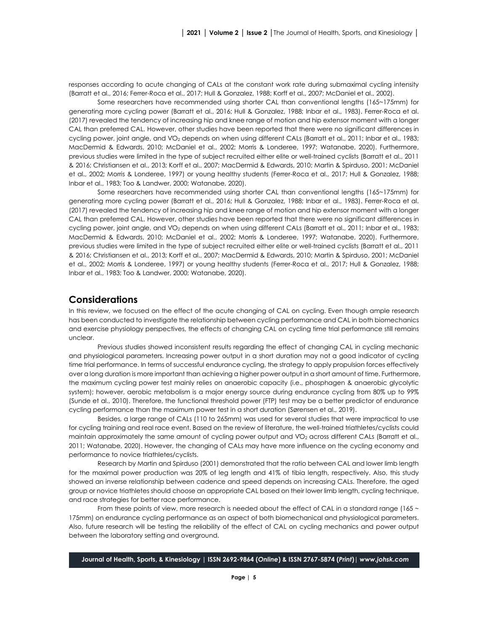responses according to acute changing of CALs at the constant work rate during submaximal cycling intensity (Barratt et al., 2016; Ferrer-Roca et al., 2017; Hull & Gonzalez, 1988; Korff et al., 2007; McDaniel et al., 2002).

Some researchers have recommended using shorter CAL than conventional lengths (165~175mm) for generating more cycling power (Barratt et al., 2016; Hull & Gonzalez, 1988; Inbar et al., 1983). Ferrer-Roca et al. (2017) revealed the tendency of increasing hip and knee range of motion and hip extensor moment with a longer CAL than preferred CAL. However, other studies have been reported that there were no significant differences in cycling power, joint angle, and VO<sub>2</sub> depends on when using different CALs (Barratt et al., 2011; Inbar et al., 1983; MacDermid & Edwards, 2010; McDaniel et al., 2002; Morris & Londeree, 1997; Watanabe, 2020). Furthermore, previous studies were limited in the type of subject recruited either elite or well-trained cyclists (Barratt et al., 2011 & 2016; Christiansen et al., 2013; Korff et al., 2007; MacDermid & Edwards, 2010; Martin & Spirduso, 2001; McDaniel et al., 2002; Morris & Londeree, 1997) or young healthy students (Ferrer-Roca et al., 2017; Hull & Gonzalez, 1988; Inbar et al., 1983; Too & Landwer, 2000; Watanabe, 2020).

Some researchers have recommended using shorter CAL than conventional lengths (165~175mm) for generating more cycling power (Barratt et al., 2016; Hull & Gonzalez, 1988; Inbar et al., 1983). Ferrer-Roca et al. (2017) revealed the tendency of increasing hip and knee range of motion and hip extensor moment with a longer CAL than preferred CAL. However, other studies have been reported that there were no significant differences in cycling power, joint angle, and V̇O2 depends on when using different CALs (Barratt et al., 2011; Inbar et al., 1983; MacDermid & Edwards, 2010; McDaniel et al., 2002; Morris & Londeree, 1997; Watanabe, 2020). Furthermore, previous studies were limited in the type of subject recruited either elite or well-trained cyclists (Barratt et al., 2011 & 2016; Christiansen et al., 2013; Korff et al., 2007; MacDermid & Edwards, 2010; Martin & Spirduso, 2001; McDaniel et al., 2002; Morris & Londeree, 1997) or young healthy students (Ferrer-Roca et al., 2017; Hull & Gonzalez, 1988; Inbar et al., 1983; Too & Landwer, 2000; Watanabe, 2020).

## **Considerations**

In this review, we focused on the effect of the acute changing of CAL on cycling. Even though ample research has been conducted to investigate the relationship between cycling performance and CAL in both biomechanics and exercise physiology perspectives, the effects of changing CAL on cycling time trial performance still remains unclear.

Previous studies showed inconsistent results regarding the effect of changing CAL in cycling mechanic and physiological parameters. Increasing power output in a short duration may not a good indicator of cycling time trial performance. In terms of successful endurance cycling, the strategy to apply propulsion forces effectively over a long duration is more important than achieving a higher power output in a short amount of time. Furthermore, the maximum cycling power test mainly relies on anaerobic capacity (i.e., phosphagen & anaerobic glycolytic system); however, aerobic metabolism is a major energy source during endurance cycling from 80% up to 99% (Sunde et al., 2010). Therefore, the functional threshold power (FTP) test may be a better predictor of endurance cycling performance than the maximum power test in a short duration (Sørensen et al., 2019).

Besides, a large range of CALs (110 to 265mm) was used for several studies that were impractical to use for cycling training and real race event. Based on the review of literature, the well-trained triathletes/cyclists could maintain approximately the same amount of cycling power output and VO<sub>2</sub> across different CALs (Barratt et al., 2011; Watanabe, 2020). However, the changing of CALs may have more influence on the cycling economy and performance to novice triathletes/cyclists.

Research by Martin and Spirduso (2001) demonstrated that the ratio between CAL and lower limb length for the maximal power production was 20% of leg length and 41% of tibia length, respectively. Also, this study showed an inverse relationship between cadence and speed depends on increasing CALs. Therefore, the aged group or novice triathletes should choose an appropriate CAL based on their lower limb length, cycling technique, and race strategies for better race performance.

From these points of view, more research is needed about the effect of CAL in a standard range (165 ~ 175mm) on endurance cycling performance as an aspect of both biomechanical and physiological parameters. Also, future research will be testing the reliability of the effect of CAL on cycling mechanics and power output between the laboratory setting and overground.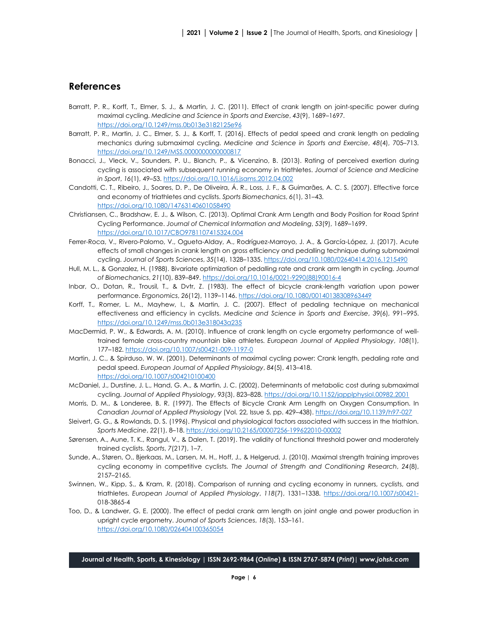## **References**

- Barratt, P. R., Korff, T., Elmer, S. J., & Martin, J. C. (2011). Effect of crank length on joint-specific power during maximal cycling. *Medicine and Science in Sports and Exercise*, *43*(9), 1689–1697. <https://doi.org/10.1249/mss.0b013e3182125e96>
- Barratt, P. R., Martin, J. C., Elmer, S. J., & Korff, T. (2016). Effects of pedal speed and crank length on pedaling mechanics during submaximal cycling. *Medicine and Science in Sports and Exercise*, *48*(4), 705–713. <https://doi.org/10.1249/MSS.0000000000000817>
- Bonacci, J., Vleck, V., Saunders, P. U., Blanch, P., & Vicenzino, B. (2013). Rating of perceived exertion during cycling is associated with subsequent running economy in triathletes. *Journal of Science and Medicine in Sport*, *16*(1), 49–53.<https://doi.org/10.1016/j.jsams.2012.04.002>
- Candotti, C. T., Ribeiro, J., Soares, D. P., De Oliveira, Á. R., Loss, J. F., & Guimarães, A. C. S. (2007). Effective force and economy of triathletes and cyclists. *Sports Biomechanics*, *6*(1), 31–43. <https://doi.org/10.1080/14763140601058490>
- Christiansen, C., Bradshaw, E. J., & Wilson, C. (2013). Optimal Crank Arm Length and Body Position for Road Sprint Cycling Performance. *Journal of Chemical Information and Modeling*, *53*(9), 1689–1699. <https://doi.org/10.1017/CBO9781107415324.004>
- Ferrer-Roca, V., Rivero-Palomo, V., Ogueta-Alday, A., Rodríguez-Marroyo, J. A., & García-López, J. (2017). Acute effects of small changes in crank length on gross efficiency and pedalling technique during submaximal cycling. *Journal of Sports Sciences*, *35*(14), 1328–1335[. https://doi.org/10.1080/02640414.2016.1215490](https://doi.org/10.1080/02640414.2016.1215490)
- Hull, M. L., & Gonzalez, H. (1988). Bivariate optimization of pedalling rate and crank arm length in cycling. *Journal of Biomechanics*, *21*(10), 839–849[. https://doi.org/10.1016/0021](https://doi.org/10.1016/0021-9290(88)90016-4)-9290(88)90016-4
- Inbar, O., Dotan, R., Trousil, T., & Dvtr, Z. (1983). The effect of bicycle crank-length variation upon power performance. *Ergonomics*, *26*(12), 1139–1146[. https://doi.org/10.1080/00140138308963449](https://doi.org/10.1080/00140138308963449)
- Korff, T., Romer, L. M., Mayhew, I., & Martin, J. C. (2007). Effect of pedaling technique on mechanical effectiveness and efficiency in cyclists. *Medicine and Science in Sports and Exercise*, *39*(6), 991–995. <https://doi.org/10.1249/mss.0b013e318043a235>
- MacDermid, P. W., & Edwards, A. M. (2010). Influence of crank length on cycle ergometry performance of welltrained female cross-country mountain bike athletes. *European Journal of Applied Physiology*, *108*(1), 177–182[. https://doi.org/10.1007/s00421](https://doi.org/10.1007/s00421-009-1197-0)-009-1197-0
- Martin, J. C., & Spirduso, W. W. (2001). Determinants of maximal cycling power: Crank length, pedaling rate and pedal speed. *European Journal of Applied Physiology*, *84*(5), 413–418. <https://doi.org/10.1007/s004210100400>
- McDaniel, J., Durstine, J. L., Hand, G. A., & Martin, J. C. (2002). Determinants of metabolic cost during submaximal cycling. *Journal of Applied Physiology*, *93*(3), 823–828.<https://doi.org/10.1152/japplphysiol.00982.2001>
- Morris, D. M., & Londeree, B. R. (1997). The Effects of Bicycle Crank Arm Length on Oxygen Consumption. In *Canadian Journal of Applied Physiology* (Vol. 22, Issue 5, pp. 429–438). [https://doi.org/10.1139/h97](https://doi.org/10.1139/h97-027)-027
- Sleivert, G. G., & Rowlands, D. S. (1996). Physical and physiological factors associated with success in the triathlon. *Sports Medicine*, *22*(1), 8–18. [https://doi.org/10.2165/00007256](https://doi.org/10.2165/00007256-199622010-00002)-199622010-00002
- Sørensen, A., Aune, T. K., Rangul, V., & Dalen, T. (2019). The validity of functional threshold power and moderately trained cyclists. *Sports*, *7*(217), 1–7.
- Sunde, A., Støren, O., Bjerkaas, M., Larsen, M. H., Hoff, J., & Helgerud, J. (2010). Maximal strength training improves cycling economy in competitive cyclists. *The Journal of Strength and Conditioning Research*, *24*(8), 2157–2165.
- Swinnen, W., Kipp, S., & Kram, R. (2018). Comparison of running and cycling economy in runners, cyclists, and triathletes. *European Journal of Applied Physiology*, *118*(7), 1331–1338. [https://doi.org/10.1007/s00421](https://doi.org/10.1007/s00421-)- 018-3865-4
- Too, D., & Landwer, G. E. (2000). The effect of pedal crank arm length on joint angle and power production in upright cycle ergometry. *Journal of Sports Sciences*, *18*(3), 153–161. <https://doi.org/10.1080/026404100365054>

**Journal of Health, Sports, & Kinesiology | ISSN 2692-9864 (***Online***) & ISSN 2767-5874 (***Print***)|** *www.johsk.com*